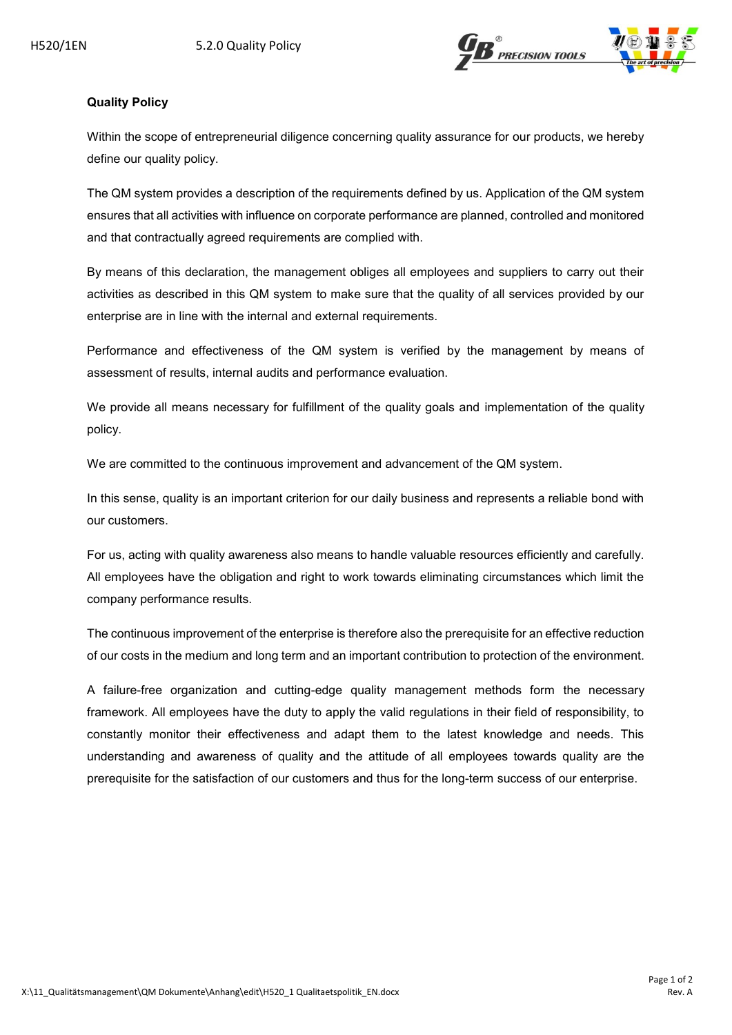

## **Quality Policy**

Within the scope of entrepreneurial diligence concerning quality assurance for our products, we hereby define our quality policy.

The QM system provides a description of the requirements defined by us. Application of the QM system ensures that all activities with influence on corporate performance are planned, controlled and monitored and that contractually agreed requirements are complied with.

By means of this declaration, the management obliges all employees and suppliers to carry out their activities as described in this QM system to make sure that the quality of all services provided by our enterprise are in line with the internal and external requirements.

Performance and effectiveness of the QM system is verified by the management by means of assessment of results, internal audits and performance evaluation.

We provide all means necessary for fulfillment of the quality goals and implementation of the quality policy.

We are committed to the continuous improvement and advancement of the QM system.

In this sense, quality is an important criterion for our daily business and represents a reliable bond with our customers.

For us, acting with quality awareness also means to handle valuable resources efficiently and carefully. All employees have the obligation and right to work towards eliminating circumstances which limit the company performance results.

The continuous improvement of the enterprise is therefore also the prerequisite for an effective reduction of our costs in the medium and long term and an important contribution to protection of the environment.

A failure-free organization and cutting-edge quality management methods form the necessary framework. All employees have the duty to apply the valid regulations in their field of responsibility, to constantly monitor their effectiveness and adapt them to the latest knowledge and needs. This understanding and awareness of quality and the attitude of all employees towards quality are the prerequisite for the satisfaction of our customers and thus for the long-term success of our enterprise.